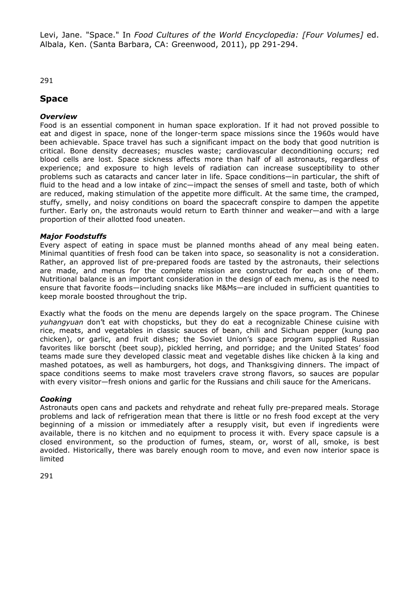Levi, Jane. "Space." In *Food Cultures of the World Encyclopedia: [Four Volumes]* ed. Albala, Ken. (Santa Barbara, CA: Greenwood, 2011), pp 291-294.

291

# **Space**

# *Overview*

Food is an essential component in human space exploration. If it had not proved possible to eat and digest in space, none of the longer-term space missions since the 1960s would have been achievable. Space travel has such a significant impact on the body that good nutrition is critical. Bone density decreases; muscles waste; cardiovascular deconditioning occurs; red blood cells are lost. Space sickness affects more than half of all astronauts, regardless of experience; and exposure to high levels of radiation can increase susceptibility to other problems such as cataracts and cancer later in life. Space conditions—in particular, the shift of fluid to the head and a low intake of zinc—impact the senses of smell and taste, both of which are reduced, making stimulation of the appetite more difficult. At the same time, the cramped, stuffy, smelly, and noisy conditions on board the spacecraft conspire to dampen the appetite further. Early on, the astronauts would return to Earth thinner and weaker—and with a large proportion of their allotted food uneaten.

# *Major Foodstuffs*

Every aspect of eating in space must be planned months ahead of any meal being eaten. Minimal quantities of fresh food can be taken into space, so seasonality is not a consideration. Rather, an approved list of pre-prepared foods are tasted by the astronauts, their selections are made, and menus for the complete mission are constructed for each one of them. Nutritional balance is an important consideration in the design of each menu, as is the need to ensure that favorite foods—including snacks like M&Ms—are included in sufficient quantities to keep morale boosted throughout the trip.

Exactly what the foods on the menu are depends largely on the space program. The Chinese *yuhangyuan* don't eat with chopsticks, but they do eat a recognizable Chinese cuisine with rice, meats, and vegetables in classic sauces of bean, chili and Sichuan pepper (kung pao chicken), or garlic, and fruit dishes; the Soviet Union's space program supplied Russian favorites like borscht (beet soup), pickled herring, and porridge; and the United States' food teams made sure they developed classic meat and vegetable dishes like chicken à la king and mashed potatoes, as well as hamburgers, hot dogs, and Thanksgiving dinners. The impact of space conditions seems to make most travelers crave strong flavors, so sauces are popular with every visitor—fresh onions and garlic for the Russians and chili sauce for the Americans.

# *Cooking*

Astronauts open cans and packets and rehydrate and reheat fully pre-prepared meals. Storage problems and lack of refrigeration mean that there is little or no fresh food except at the very beginning of a mission or immediately after a resupply visit, but even if ingredients were available, there is no kitchen and no equipment to process it with. Every space capsule is a closed environment, so the production of fumes, steam, or, worst of all, smoke, is best avoided. Historically, there was barely enough room to move, and even now interior space is limited

291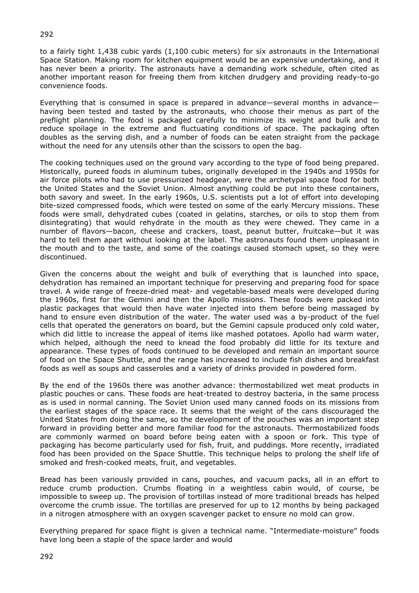to a fairly tight 1,438 cubic yards (1,100 cubic meters) for six astronauts in the International Space Station. Making room for kitchen equipment would be an expensive undertaking, and it has never been a priority. The astronauts have a demanding work schedule, often cited as another important reason for freeing them from kitchen drudgery and providing ready-to-go convenience foods.

Everything that is consumed in space is prepared in advance—several months in advance having been tested and tasted by the astronauts, who choose their menus as part of the preflight planning. The food is packaged carefully to minimize its weight and bulk and to reduce spoilage in the extreme and fluctuating conditions of space. The packaging often doubles as the serving dish, and a number of foods can be eaten straight from the package without the need for any utensils other than the scissors to open the bag.

The cooking techniques used on the ground vary according to the type of food being prepared. Historically, pureed foods in aluminum tubes, originally developed in the 1940s and 1950s for air force pilots who had to use pressurized headgear, were the archetypal space food for both the United States and the Soviet Union. Almost anything could be put into these containers, both savory and sweet. In the early 1960s, U.S. scientists put a lot of effort into developing bite-sized compressed foods, which were tested on some of the early Mercury missions. These foods were small, dehydrated cubes (coated in gelatins, starches, or oils to stop them from disintegrating) that would rehydrate in the mouth as they were chewed. They came in a number of flavors—bacon, cheese and crackers, toast, peanut butter, fruitcake—but it was hard to tell them apart without looking at the label. The astronauts found them unpleasant in the mouth and to the taste, and some of the coatings caused stomach upset, so they were discontinued.

Given the concerns about the weight and bulk of everything that is launched into space, dehydration has remained an important technique for preserving and preparing food for space travel. A wide range of freeze-dried meat- and vegetable-based meals were developed during the 1960s, first for the Gemini and then the Apollo missions. These foods were packed into plastic packages that would then have water injected into them before being massaged by hand to ensure even distribution of the water. The water used was a by-product of the fuel cells that operated the generators on board, but the Gemini capsule produced only cold water, which did little to increase the appeal of items like mashed potatoes. Apollo had warm water, which helped, although the need to knead the food probably did little for its texture and appearance. These types of foods continued to be developed and remain an important source of food on the Space Shuttle, and the range has increased to include fish dishes and breakfast foods as well as soups and casseroles and a variety of drinks provided in powdered form.

By the end of the 1960s there was another advance: thermostabilized wet meat products in plastic pouches or cans. These foods are heat-treated to destroy bacteria, in the same process as is used in normal canning. The Soviet Union used many canned foods on its missions from the earliest stages of the space race. It seems that the weight of the cans discouraged the United States from doing the same, so the development of the pouches was an important step forward in providing better and more familiar food for the astronauts. Thermostabilized foods are commonly warmed on board before being eaten with a spoon or fork. This type of packaging has become particularly used for fish, fruit, and puddings. More recently, irradiated food has been provided on the Space Shuttle. This technique helps to prolong the shelf life of smoked and fresh-cooked meats, fruit, and vegetables.

Bread has been variously provided in cans, pouches, and vacuum packs, all in an effort to reduce crumb production. Crumbs floating in a weightless cabin would, of course, be impossible to sweep up. The provision of tortillas instead of more traditional breads has helped overcome the crumb issue. The tortillas are preserved for up to 12 months by being packaged in a nitrogen atmosphere with an oxygen scavenger packet to ensure no mold can grow.

Everything prepared for space flight is given a technical name. "Intermediate-moisture" foods have long been a staple of the space larder and would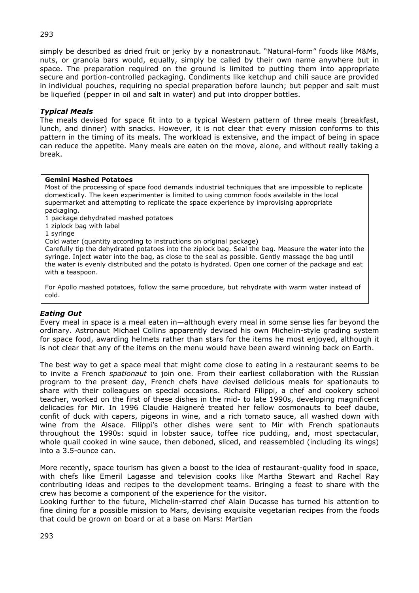simply be described as dried fruit or jerky by a nonastronaut. "Natural-form" foods like M&Ms, nuts, or granola bars would, equally, simply be called by their own name anywhere but in space. The preparation required on the ground is limited to putting them into appropriate secure and portion-controlled packaging. Condiments like ketchup and chili sauce are provided in individual pouches, requiring no special preparation before launch; but pepper and salt must be liquefied (pepper in oil and salt in water) and put into dropper bottles.

# *Typical Meals*

The meals devised for space fit into to a typical Western pattern of three meals (breakfast, lunch, and dinner) with snacks. However, it is not clear that every mission conforms to this pattern in the timing of its meals. The workload is extensive, and the impact of being in space can reduce the appetite. Many meals are eaten on the move, alone, and without really taking a break.

#### **Gemini Mashed Potatoes**

Most of the processing of space food demands industrial techniques that are impossible to replicate domestically. The keen experimenter is limited to using common foods available in the local supermarket and attempting to replicate the space experience by improvising appropriate packaging.

- 1 package dehydrated mashed potatoes
- 1 ziplock bag with label
- 1 syringe

Cold water (quantity according to instructions on original package)

Carefully tip the dehydrated potatoes into the ziplock bag. Seal the bag. Measure the water into the syringe. Inject water into the bag, as close to the seal as possible. Gently massage the bag until the water is evenly distributed and the potato is hydrated. Open one corner of the package and eat with a teaspoon.

For Apollo mashed potatoes, follow the same procedure, but rehydrate with warm water instead of cold.

# *Eating Out*

Every meal in space is a meal eaten in—although every meal in some sense lies far beyond the ordinary. Astronaut Michael Collins apparently devised his own Michelin-style grading system for space food, awarding helmets rather than stars for the items he most enjoyed, although it is not clear that any of the items on the menu would have been award winning back on Earth.

The best way to get a space meal that might come close to eating in a restaurant seems to be to invite a French *spationaut* to join one. From their earliest collaboration with the Russian program to the present day, French chefs have devised delicious meals for spationauts to share with their colleagues on special occasions. Richard Filippi, a chef and cookery school teacher, worked on the first of these dishes in the mid- to late 1990s, developing magnificent delicacies for Mir. In 1996 Claudie Haigneré treated her fellow cosmonauts to beef daube, confit of duck with capers, pigeons in wine, and a rich tomato sauce, all washed down with wine from the Alsace. Filippi's other dishes were sent to Mir with French spationauts throughout the 1990s: squid in lobster sauce, toffee rice pudding, and, most spectacular, whole quail cooked in wine sauce, then deboned, sliced, and reassembled (including its wings) into a 3.5-ounce can.

More recently, space tourism has given a boost to the idea of restaurant-quality food in space, with chefs like Emeril Lagasse and television cooks like Martha Stewart and Rachel Ray contributing ideas and recipes to the development teams. Bringing a feast to share with the crew has become a component of the experience for the visitor.

Looking further to the future, Michelin-starred chef Alain Ducasse has turned his attention to fine dining for a possible mission to Mars, devising exquisite vegetarian recipes from the foods that could be grown on board or at a base on Mars: Martian